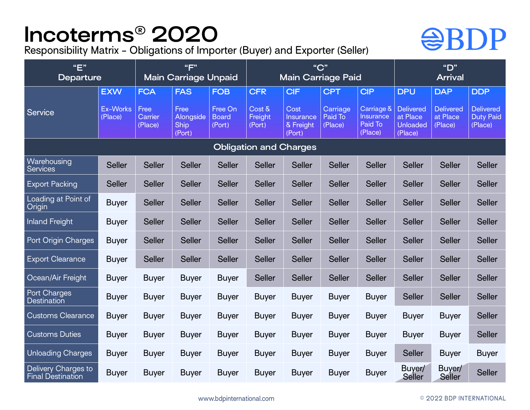## **Incoterms® 2020**

Responsibility Matrix - Obligations of Importer (Buyer) and Exporter (Seller)

## **@BDP**

| "E"<br><b>Departure</b>                         |                     | "F"<br><b>Main Carriage Unpaid</b> |                                            |                                   | "C"<br><b>Main Carriage Paid</b> |                                                 |                                |                                                      | "D"<br><b>Arrival</b>                                      |                                         |                                                 |
|-------------------------------------------------|---------------------|------------------------------------|--------------------------------------------|-----------------------------------|----------------------------------|-------------------------------------------------|--------------------------------|------------------------------------------------------|------------------------------------------------------------|-----------------------------------------|-------------------------------------------------|
|                                                 | <b>EXW</b>          | <b>FCA</b>                         | <b>FAS</b>                                 | <b>FOB</b>                        | <b>CFR</b>                       | <b>CIF</b>                                      | <b>CPT</b>                     | <b>CIP</b>                                           | <b>DPU</b>                                                 | <b>DAP</b>                              | <b>DDP</b>                                      |
| <b>Service</b>                                  | Ex-Works<br>(Place) | Free<br>Carrier<br>(Place)         | Free<br>Alongside<br><b>Ship</b><br>(Port) | Free On<br><b>Board</b><br>(Port) | Cost &<br>Freight<br>(Port)      | Cost<br><b>Insurance</b><br>& Freight<br>(Port) | Carriage<br>Paid To<br>(Place) | Carriage &<br><b>Insurance</b><br>Paid To<br>(Place) | <b>Delivered</b><br>at Place<br><b>Unloaded</b><br>(Place) | <b>Delivered</b><br>at Place<br>(Place) | <b>Delivered</b><br><b>Duty Paid</b><br>(Place) |
| <b>Obligation and Charges</b>                   |                     |                                    |                                            |                                   |                                  |                                                 |                                |                                                      |                                                            |                                         |                                                 |
| Warehousing<br><b>Services</b>                  | <b>Seller</b>       | <b>Seller</b>                      | <b>Seller</b>                              | <b>Seller</b>                     | <b>Seller</b>                    | <b>Seller</b>                                   | <b>Seller</b>                  | <b>Seller</b>                                        | <b>Seller</b>                                              | <b>Seller</b>                           | <b>Seller</b>                                   |
| <b>Export Packing</b>                           | <b>Seller</b>       | <b>Seller</b>                      | <b>Seller</b>                              | <b>Seller</b>                     | <b>Seller</b>                    | <b>Seller</b>                                   | <b>Seller</b>                  | <b>Seller</b>                                        | <b>Seller</b>                                              | <b>Seller</b>                           | <b>Seller</b>                                   |
| Loading at Point of<br>Origin                   | <b>Buyer</b>        | <b>Seller</b>                      | <b>Seller</b>                              | <b>Seller</b>                     | <b>Seller</b>                    | <b>Seller</b>                                   | <b>Seller</b>                  | <b>Seller</b>                                        | <b>Seller</b>                                              | <b>Seller</b>                           | <b>Seller</b>                                   |
| <b>Inland Freight</b>                           | <b>Buyer</b>        | <b>Seller</b>                      | <b>Seller</b>                              | <b>Seller</b>                     | <b>Seller</b>                    | <b>Seller</b>                                   | <b>Seller</b>                  | <b>Seller</b>                                        | <b>Seller</b>                                              | <b>Seller</b>                           | <b>Seller</b>                                   |
| Port Origin Charges                             | <b>Buyer</b>        | <b>Seller</b>                      | <b>Seller</b>                              | <b>Seller</b>                     | <b>Seller</b>                    | <b>Seller</b>                                   | <b>Seller</b>                  | <b>Seller</b>                                        | <b>Seller</b>                                              | <b>Seller</b>                           | <b>Seller</b>                                   |
| <b>Export Clearance</b>                         | <b>Buyer</b>        | <b>Seller</b>                      | <b>Seller</b>                              | <b>Seller</b>                     | <b>Seller</b>                    | <b>Seller</b>                                   | <b>Seller</b>                  | <b>Seller</b>                                        | <b>Seller</b>                                              | <b>Seller</b>                           | <b>Seller</b>                                   |
| Ocean/Air Freight                               | <b>Buyer</b>        | <b>Buyer</b>                       | <b>Buyer</b>                               | <b>Buyer</b>                      | <b>Seller</b>                    | <b>Seller</b>                                   | <b>Seller</b>                  | <b>Seller</b>                                        | <b>Seller</b>                                              | <b>Seller</b>                           | <b>Seller</b>                                   |
| Port Charges<br><b>Destination</b>              | <b>Buyer</b>        | <b>Buyer</b>                       | <b>Buyer</b>                               | <b>Buyer</b>                      | <b>Buyer</b>                     | <b>Buyer</b>                                    | <b>Buyer</b>                   | <b>Buyer</b>                                         | <b>Seller</b>                                              | <b>Seller</b>                           | <b>Seller</b>                                   |
| <b>Customs Clearance</b>                        | <b>Buyer</b>        | <b>Buyer</b>                       | <b>Buyer</b>                               | <b>Buyer</b>                      | <b>Buyer</b>                     | <b>Buyer</b>                                    | <b>Buyer</b>                   | <b>Buyer</b>                                         | <b>Buyer</b>                                               | <b>Buyer</b>                            | <b>Seller</b>                                   |
| Customs Duties                                  | <b>Buyer</b>        | <b>Buyer</b>                       | <b>Buyer</b>                               | <b>Buyer</b>                      | <b>Buyer</b>                     | <b>Buyer</b>                                    | <b>Buyer</b>                   | <b>Buyer</b>                                         | <b>Buyer</b>                                               | <b>Buyer</b>                            | <b>Seller</b>                                   |
| <b>Unloading Charges</b>                        | <b>Buyer</b>        | <b>Buyer</b>                       | <b>Buyer</b>                               | <b>Buyer</b>                      | <b>Buyer</b>                     | <b>Buyer</b>                                    | <b>Buyer</b>                   | <b>Buyer</b>                                         | <b>Seller</b>                                              | <b>Buyer</b>                            | <b>Buyer</b>                                    |
| Delivery Charges to<br><b>Final Destination</b> | <b>Buyer</b>        | <b>Buyer</b>                       | <b>Buyer</b>                               | <b>Buyer</b>                      | <b>Buyer</b>                     | <b>Buyer</b>                                    | <b>Buyer</b>                   | <b>Buyer</b>                                         | Buyer/<br>Seller                                           | Buyer/<br>Seller                        | <b>Seller</b>                                   |